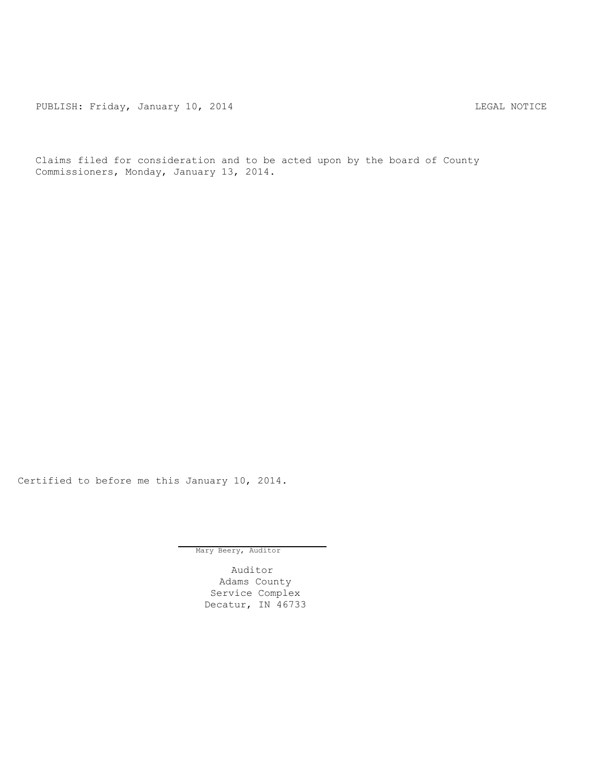PUBLISH: Friday, January 10, 2014 CHA CHANGE CONTROLLING MOTICE

Claims filed for consideration and to be acted upon by the board of County Commissioners, Monday, January 13, 2014.

Certified to before me this January 10, 2014.

Mary Beery, Auditor

Auditor Adams County Service Complex Decatur, IN 46733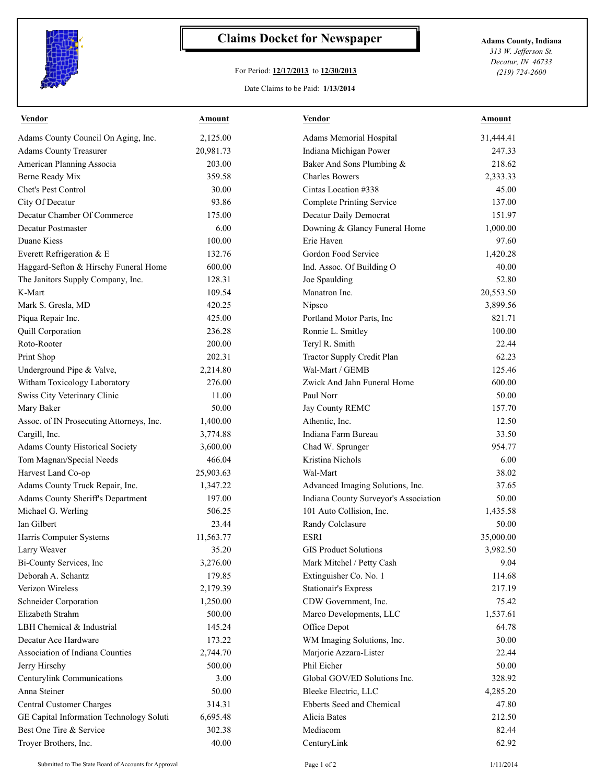

## **Claims Docket for Newspaper Adams County, Indiana**

## For Period: **12/17/2013** to **12/30/2013**

Date Claims to be Paid: **1/13/2014**

*313 W. Jefferson St. Decatur, IN 46733 (219) 724-2600*

| <b>Vendor</b>                            | <b>Amount</b> | <b>Vendor</b>                         | <u>Amount</u> |
|------------------------------------------|---------------|---------------------------------------|---------------|
| Adams County Council On Aging, Inc.      | 2,125.00      | Adams Memorial Hospital               | 31,444.41     |
| <b>Adams County Treasurer</b>            | 20,981.73     | Indiana Michigan Power                | 247.33        |
| American Planning Associa                | 203.00        | Baker And Sons Plumbing &             | 218.62        |
| Berne Ready Mix                          | 359.58        | <b>Charles Bowers</b>                 | 2,333.33      |
| Chet's Pest Control                      | 30.00         | Cintas Location #338                  | 45.00         |
| City Of Decatur                          | 93.86         | Complete Printing Service             | 137.00        |
| Decatur Chamber Of Commerce              | 175.00        | Decatur Daily Democrat                | 151.97        |
| Decatur Postmaster                       | 6.00          | Downing & Glancy Funeral Home         | 1,000.00      |
| Duane Kiess                              | 100.00        | Erie Haven                            | 97.60         |
| Everett Refrigeration & E                | 132.76        | Gordon Food Service                   | 1,420.28      |
| Haggard-Sefton & Hirschy Funeral Home    | 600.00        | Ind. Assoc. Of Building O             | 40.00         |
| The Janitors Supply Company, Inc.        | 128.31        | Joe Spaulding                         | 52.80         |
| K-Mart                                   | 109.54        | Manatron Inc.                         | 20,553.50     |
| Mark S. Gresla, MD                       | 420.25        | Nipsco                                | 3,899.56      |
| Piqua Repair Inc.                        | 425.00        | Portland Motor Parts, Inc             | 821.71        |
| <b>Quill Corporation</b>                 | 236.28        | Ronnie L. Smitley                     | 100.00        |
| Roto-Rooter                              | 200.00        | Teryl R. Smith                        | 22.44         |
| Print Shop                               | 202.31        | Tractor Supply Credit Plan            | 62.23         |
| Underground Pipe & Valve,                | 2,214.80      | Wal-Mart / GEMB                       | 125.46        |
| Witham Toxicology Laboratory             | 276.00        | Zwick And Jahn Funeral Home           | 600.00        |
| Swiss City Veterinary Clinic             | 11.00         | Paul Norr                             | 50.00         |
| Mary Baker                               | 50.00         | Jay County REMC                       | 157.70        |
| Assoc. of IN Prosecuting Attorneys, Inc. | 1,400.00      | Athentic, Inc.                        | 12.50         |
| Cargill, Inc.                            | 3,774.88      | Indiana Farm Bureau                   | 33.50         |
| <b>Adams County Historical Society</b>   | 3,600.00      | Chad W. Sprunger                      | 954.77        |
| Tom Magnan/Special Needs                 | 466.04        | Kristina Nichols                      | 6.00          |
| Harvest Land Co-op                       | 25,903.63     | Wal-Mart                              | 38.02         |
| Adams County Truck Repair, Inc.          | 1,347.22      | Advanced Imaging Solutions, Inc.      | 37.65         |
| <b>Adams County Sheriff's Department</b> | 197.00        | Indiana County Surveyor's Association | 50.00         |
| Michael G. Werling                       | 506.25        | 101 Auto Collision, Inc.              | 1,435.58      |
| Ian Gilbert                              | 23.44         | Randy Colclasure                      | 50.00         |
| Harris Computer Systems                  | 11,563.77     | <b>ESRI</b>                           | 35,000.00     |
| Larry Weaver                             | 35.20         | <b>GIS Product Solutions</b>          | 3,982.50      |
| Bi-County Services, Inc                  | 3,276.00      | Mark Mitchel / Petty Cash             | 9.04          |
| Deborah A. Schantz                       | 179.85        | Extinguisher Co. No. 1                | 114.68        |
| Verizon Wireless                         | 2,179.39      | <b>Stationair's Express</b>           | 217.19        |
| <b>Schneider Corporation</b>             | 1,250.00      | CDW Government, Inc.                  | 75.42         |
| Elizabeth Strahm                         | 500.00        | Marco Developments, LLC               | 1,537.61      |
| LBH Chemical & Industrial                | 145.24        | Office Depot                          | 64.78         |
| Decatur Ace Hardware                     | 173.22        | WM Imaging Solutions, Inc.            | 30.00         |
| Association of Indiana Counties          | 2,744.70      | Marjorie Azzara-Lister                | 22.44         |
| Jerry Hirschy                            | 500.00        | Phil Eicher                           | 50.00         |
| Centurylink Communications               | 3.00          | Global GOV/ED Solutions Inc.          | 328.92        |
| Anna Steiner                             | 50.00         | Bleeke Electric, LLC                  | 4,285.20      |
| Central Customer Charges                 | 314.31        | Ebberts Seed and Chemical             | 47.80         |
| GE Capital Information Technology Soluti | 6,695.48      | Alicia Bates                          | 212.50        |
| Best One Tire & Service                  | 302.38        | Mediacom                              | 82.44         |
| Troyer Brothers, Inc.                    | 40.00         | CenturyLink                           | 62.92         |
|                                          |               |                                       |               |

Submitted to The State Board of Accounts for Approval Page 1 of 2 1/11/2014